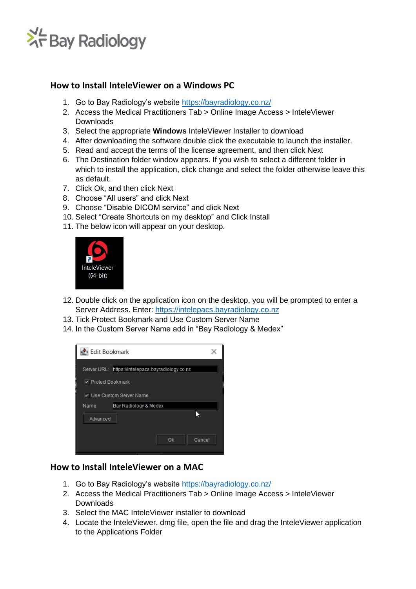

## **How to Install InteleViewer on a Windows PC**

- 1. Go to Bay Radiology's website<https://bayradiology.co.nz/>
- 2. Access the Medical Practitioners Tab > Online Image Access > InteleViewer Downloads
- 3. Select the appropriate **Windows** InteleViewer Installer to download
- 4. After downloading the software double click the executable to launch the installer.
- 5. Read and accept the terms of the license agreement, and then click Next
- 6. The Destination folder window appears. If you wish to select a different folder in which to install the application, click change and select the folder otherwise leave this as default.
- 7. Click Ok, and then click Next
- 8. Choose "All users" and click Next
- 9. Choose "Disable DICOM service" and click Next
- 10. Select "Create Shortcuts on my desktop" and Click Install
- 11. The below icon will appear on your desktop.



- 12. Double click on the application icon on the desktop, you will be prompted to enter a Server Address. Enter: [https://intelepacs.bayradiology.co.nz](https://intelepacs.bayradiology.co.nz/)
- 13. Tick Protect Bookmark and Use Custom Server Name
- 14. In the Custom Server Name add in "Bay Radiology & Medex"

| <b>Edit Bookmark</b>      |                                                   |        |
|---------------------------|---------------------------------------------------|--------|
| <b>▶</b> Protect Bookmark | Server URL: https://intelepacs.bayradiology.co.nz |        |
| Name:                     | Bay Radiology & Medex                             |        |
| Advanced                  |                                                   |        |
|                           | Ok                                                | Cancel |

## **How to Install InteleViewer on a MAC**

- 1. Go to Bay Radiology's website<https://bayradiology.co.nz/>
- 2. Access the Medical Practitioners Tab > Online Image Access > InteleViewer Downloads
- 3. Select the MAC InteleViewer installer to download
- 4. Locate the InteleViewer. dmg file, open the file and drag the InteleViewer application to the Applications Folder